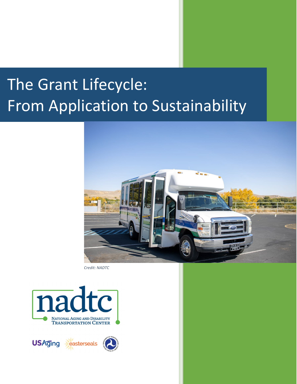# The Grant Lifecycle: From Application to Sustainability



*Credit: NADTC* 



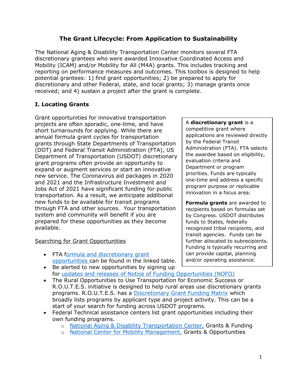# **The Grant Lifecycle: From Application to Sustainability**

The National Aging & Disability Transportation Center monitors several FTA discretionary grantees who were awarded Innovative Coordinated Access and Mobility (ICAM) and/or Mobility for All (M4A) grants. This includes tracking and reporting on performance measures and outcomes. This toolbox is designed to help potential grantees: 1) find grant opportunities; 2) be prepared to apply for discretionary and other Federal, state, and local grants; 3) manage grants once received; and 4) sustain a project after the grant is complete.

## **I. Locating Grants**

Grant opportunities for innovative transportation projects are often sporadic, one-time, and have short turnarounds for applying. While there are annual formula grant cycles for transportation grants through State Departments of Transportation (DOT) and Federal Transit Administration (FTA), US Department of Transportation (USDOT) discretionary grant programs often provide an opportunity to expand or augment services or start an innovative new service. The Coronavirus aid packages in 2020 and 2021 and the Infrastructure Investment and Jobs Act of 2021 have significant funding for public transportation. As a result, we anticipate additional new funds to be available for transit programs through FTA and other sources. Your transportation system and community will benefit if you are prepared for these opportunities as they become available.

## Searching for Grant Opportunities

- FTA [formula and discretionary grant](https://www.transit.dot.gov/grants)  [opportunities](https://www.transit.dot.gov/grants) can be found in the linked table.
- Be alerted to new opportunities by signing up for [updates and releases of Notice of Funding Opportunities \(NOFO\)](https://public.govdelivery.com/accounts/USDOTFTA/subscriber/new?category_id=USDOTFTA_C3)
- The Rural Opportunities to Use Transportation for Economic Success or R.O.U.T.E.S. initiative is designed to help rural areas use discretionary grants programs. R.O.U.T.E.S. has a [Discretionary Grant Funding Matrix](https://www.transportation.gov/rural/toolkit/routes-discretionary-grant-funding-matrix) which broadly lists programs by applicant type and project activity. This can be a start of your search for funding across USDOT programs.
- Federal Technical assistance centers list grant opportunities including their own funding programs.
	- o [National Aging & Disability Transportation Center,](https://www.nadtc.org/grants-funding/) Grants & Funding
	- o [National Center for Mobility Management,](https://nationalcenterformobilitymanagement.org/ncmm-grants/) Grants & Opportunities

A **discretionary grant** is a competitive grant where applications are reviewed directly by the Federal Transit Administration (FTA). FTA selects the awardee based on eligibility, evaluation criteria and Department or program priorities. Funds are typically one-time and address a specific program purpose or replicable innovation in a focus area.

**Formula grants** are awarded to recipients based on formulas set by Congress. USDOT distributes funds to States, federally recognized tribal recipients, and transit agencies. Funds can be further allocated to subrecipients. Funding is typically recurring and can provide capital, planning and/or operating assistance.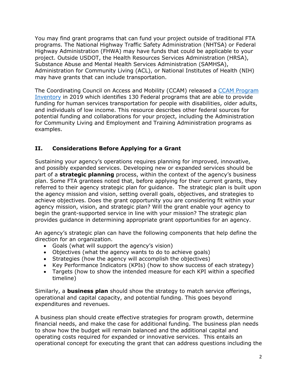You may find grant programs that can fund your project outside of traditional FTA programs. The National Highway Traffic Safety Administration (NHTSA) or Federal Highway Administration (FHWA) may have funds that could be applicable to your project. Outside USDOT, the Health Resources Services Administration (HRSA), Substance Abuse and Mental Health Services Administration (SAMHSA), Administration for Community Living (ACL), or National Institutes of Health (NIH) may have grants that can include transportation.

The Coordinating Council on Access and Mobility (CCAM) released a [CCAM Program](https://www.transit.dot.gov/regulations-and-guidance/ccam/about/ccam-program-inventory)  [Inventory](https://www.transit.dot.gov/regulations-and-guidance/ccam/about/ccam-program-inventory) in 2019 which identifies 130 Federal programs that are able to provide funding for human services transportation for people with disabilities, older adults, and individuals of low income. This resource describes other federal sources for potential funding and collaborations for your project, including the Administration for Community Living and Employment and Training Administration programs as examples.

## **II. Considerations Before Applying for a Grant**

Sustaining your agency's operations requires planning for improved, innovative, and possibly expanded services. Developing new or expanded services should be part of a **strategic planning** process, within the context of the agency's business plan. Some FTA grantees noted that, before applying for their current grants, they referred to their agency strategic plan for guidance. The strategic plan is built upon the agency mission and vision, setting overall goals, objectives, and strategies to achieve objectives. Does the grant opportunity you are considering fit within your agency mission, vision, and strategic plan? Will the grant enable your agency to begin the grant-supported service in line with your mission? The strategic plan provides guidance in determining appropriate grant opportunities for an agency.

An agency's strategic plan can have the following components that help define the direction for an organization.

- Goals (what will support the agency's vision)
- Objectives (what the agency wants to do to achieve goals)
- Strategies (how the agency will accomplish the objectives)
- Key Performance Indicators (KPIs) (how to show success of each strategy)
- Targets (how to show the intended measure for each KPI within a specified timeline)

Similarly, a **business plan** should show the strategy to match service offerings, operational and capital capacity, and potential funding. This goes beyond expenditures and revenues.

A business plan should create effective strategies for program growth, determine financial needs, and make the case for additional funding. The business plan needs to show how the budget will remain balanced and the additional capital and operating costs required for expanded or innovative services. This entails an operational concept for executing the grant that can address questions including the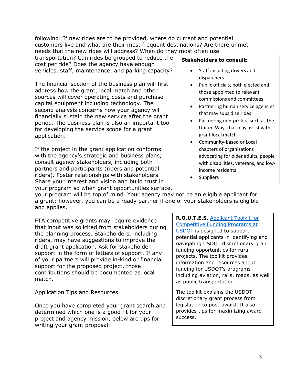following: If new rides are to be provided, where do current and potential customers live and what are their most frequent destinations? Are there unmet needs that the new rides will address? When do they most often use

transportation? Can rides be grouped to reduce the cost per ride? Does the agency have enough vehicles, staff, maintenance, and parking capacity?

The financial section of the business plan will first address how the grant, local match and other sources will cover operating costs and purchase capital equipment including technology. The second analysis concerns how your agency will financially sustain the new service after the grant period. The business plan is also an important tool for developing the service scope for a grant application.

If the project in the grant application conforms with the agency's strategic and business plans, consult agency stakeholders, including both partners and participants (riders and potential riders). Foster relationships with stakeholders. Share your interest and vision and build trust in your program so when grant opportunities surface,

#### **Stakeholders to consult:**

- Staff including drivers and dispatchers
- Public officials, both elected and those appointed to relevant commissions and committees
- Partnering human service agencies that may subsidize rides
- Partnering non-profits, such as the United Way, that may assist with grant local match
- Community-based or Local chapters of organizations advocating for older adults, people with disabilities, veterans, and lowincome residents
- Suppliers

your program will be top of mind. Your agency may not be an eligible applicant for a grant; however, you can be a ready partner if one of your stakeholders is eligible and applies.

FTA competitive grants may require evidence that input was solicited from stakeholders during the planning process. Stakeholders, including riders, may have suggestions to improve the draft grant application. Ask for stakeholder support in the form of letters of support. If any of your partners will provide in-kind or financial support for the proposed project, those contributions should be documented as local match.

## Application Tips and Resources

Once you have completed your grant search and determined which one is a good fit for your project and agency mission, below are tips for writing your grant proposal.

**R.O.U.T.E.S.** [Applicant Toolkit for](https://www.transportation.gov/sites/dot.gov/files/2021-06/R.O.U.T.E.S.%20Applicant%20Toolkit_FINAL%20508%20-%205.pdf)  [Competitive Funding Programs at](https://www.transportation.gov/sites/dot.gov/files/2021-06/R.O.U.T.E.S.%20Applicant%20Toolkit_FINAL%20508%20-%205.pdf)  [USDOT](https://www.transportation.gov/sites/dot.gov/files/2021-06/R.O.U.T.E.S.%20Applicant%20Toolkit_FINAL%20508%20-%205.pdf) is designed to support potential applicants in identifying and navigating USDOT discretionary grant funding opportunities for rural projects. The toolkit provides information and resources about funding for USDOT's programs including aviation, rails, roads, as well as public transportation.

The toolkit explains the USDOT discretionary grant process from legislation to post-award. It also provides tips for maximizing award success.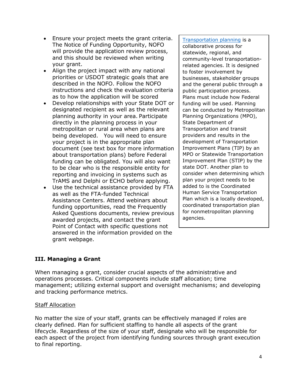- Ensure your project meets the grant criteria. The Notice of Funding Opportunity, NOFO will provide the application review process, and this should be reviewed when writing your grant.
- Align the project impact with any national priorities or USDOT strategic goals that are described in the NOFO. Follow the NOFO instructions and check the evaluation criteria as to how the application will be scored
- Develop relationships with your State DOT or designated recipient as well as the relevant planning authority in your area. Participate directly in the planning process in your metropolitan or rural area when plans are being developed. You will need to ensure your project is in the appropriate plan document (see text box for more information about transportation plans) before Federal funding can be obligated. You will also want to be clear who is the responsible entity for reporting and invoicing in systems such as TrAMS and Delphi or ECHO before applying.
- Use the technical assistance provided by FTA as well as the FTA-funded Technical Assistance Centers. Attend webinars about funding opportunities, read the Frequently Asked Questions documents, review previous awarded projects, and contact the grant Point of Contact with specific questions not answered in the information provided on the grant webpage.

[Transportation planning](https://www.transit.dot.gov/regulations-and-guidance/transportation-planning/transportation-planning) is a collaborative process for statewide, regional, and community-level transportationrelated agencies. It is designed to foster involvement by businesses, stakeholder groups and the general public through a public participation process. Plans must include how Federal funding will be used. Planning can be conducted by Metropolitan Planning Organizations (MPO), State Department of Transportation and transit providers and results in the development of Transportation Improvement Plans (TIP) by an MPO or Statewide Transportation Improvement Plan (STIP) by the state DOT. Another plan to consider when determining which plan your project needs to be added to is the Coordinated Human Service Transportation Plan which is a locally developed, coordinated transportation plan for nonmetropolitan planning agencies.

## **III. Managing a Grant**

When managing a grant, consider crucial aspects of the administrative and operations processes. Critical components include staff allocation; time management; utilizing external support and oversight mechanisms; and developing and tracking performance metrics.

#### Staff Allocation

No matter the size of your staff, grants can be effectively managed if roles are clearly defined. Plan for sufficient staffing to handle all aspects of the grant lifecycle. Regardless of the size of your staff, designate who will be responsible for each aspect of the project from identifying funding sources through grant execution to final reporting.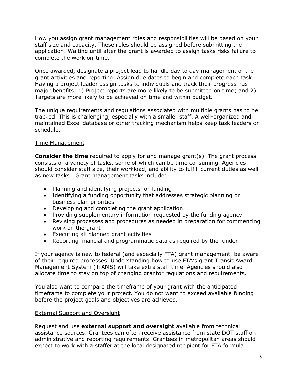How you assign grant management roles and responsibilities will be based on your staff size and capacity. These roles should be assigned before submitting the application. Waiting until after the grant is awarded to assign tasks risks failure to complete the work on-time.

Once awarded, designate a project lead to handle day to day management of the grant activities and reporting. Assign due dates to begin and complete each task. Having a project leader assign tasks to individuals and track their progress has major benefits: 1) Project reports are more likely to be submitted on time; and 2) Targets are more likely to be achieved on time and within budget.

The unique requirements and regulations associated with multiple grants has to be tracked. This is challenging, especially with a smaller staff. A well-organized and maintained Excel database or other tracking mechanism helps keep task leaders on schedule.

## Time Management

**Consider the time** required to apply for and manage grant(s). The grant process consists of a variety of tasks, some of which can be time consuming. Agencies should consider staff size, their workload, and ability to fulfill current duties as well as new tasks. Grant management tasks include:

- Planning and identifying projects for funding
- Identifying a funding opportunity that addresses strategic planning or business plan priorities
- Developing and completing the grant application
- Providing supplementary information requested by the funding agency
- Revising processes and procedures as needed in preparation for commencing work on the grant
- Executing all planned grant activities
- Reporting financial and programmatic data as required by the funder

If your agency is new to federal (and especially FTA) grant management, be aware of their required processes. Understanding how to use FTA's grant Transit Award Management System (TrAMS) will take extra staff time. Agencies should also allocate time to stay on top of changing grantor regulations and requirements.

You also want to compare the timeframe of your grant with the anticipated timeframe to complete your project. You do not want to exceed available funding before the project goals and objectives are achieved.

## External Support and Oversight

Request and use **external support and oversight** available from technical assistance sources. Grantees can often receive assistance from state DOT staff on administrative and reporting requirements. Grantees in metropolitan areas should expect to work with a staffer at the local designated recipient for FTA formula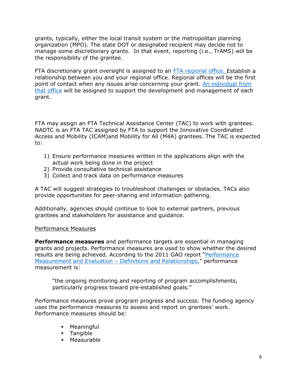grants, typically, either the local transit system or the metropolitan planning organization (MPO). The state DOT or designated recipient may decide not to manage some discretionary grants. In that event, reporting (i.e., TrAMS) will be the responsibility of the grantee.

FTA discretionary grant oversight is assigned to an [FTA regional office.](https://www.transit.dot.gov/about/regional-offices/regional-offices) Establish a relationship between you and your regional office. Regional offices will be the first point of contact when any issues arise concerning your grant. An individual from that office will be assigned to support the development and management of each grant.

FTA may assign an FTA Technical Assistance Center (TAC) to work with grantees. NADTC is an FTA TAC assigned by FTA to support the Innovative Coordinated Access and Mobility (ICAM)and Mobility for All (M4A) grantees. The TAC is expected to:

- 1) Ensure performance measures written in the applications align with the actual work being done in the project
- 2) Provide consultative technical assistance
- 3) Collect and track data on performance measures

A TAC will suggest strategies to troubleshoot challenges or obstacles. TACs also provide opportunities for peer-sharing and information gathering.

Additionally, agencies should continue to look to external partners, previous grantees and stakeholders for assistance and guidance.

#### Performance Measures

**Performance measures** and performance targets are essential in managing grants and projects. Performance measures are used to show whether the desired results are being achieved. According to the 2011 GAO report ["Performance](https://www.gao.gov/assets/gao-11-646sp.pdf)  Measurement and Evaluation - Definitions and Relationships," performance measurement is:

"the ongoing monitoring and reporting of program accomplishments, particularly progress toward pre-established goals."

Performance measures prove program progress and success. The funding agency uses the performance measures to assess and report on grantees' work. Performance measures should be:

- **Meaningful**
- **Tangible**
- **Measurable**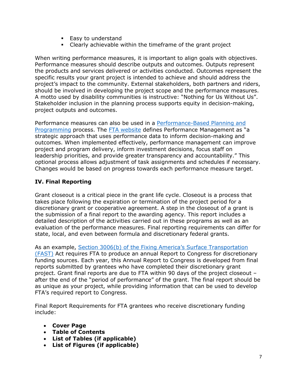- **Easy to understand**
- Clearly achievable within the timeframe of the grant project

When writing performance measures, it is important to align goals with objectives. Performance measures should describe outputs and outcomes. Outputs represent the products and services delivered or activities conducted. Outcomes represent the specific results your grant project is intended to achieve and should address the project's impact to the community. External stakeholders, both partners and riders, should be involved in developing the project scope and the performance measures. A motto used by disability communities is instructive: "Nothing for Us Without Us". Stakeholder inclusion in the planning process supports equity in decision-making, project outputs and outcomes.

Performance measures can also be used in a [Performance-Based Planning and](https://www.transit.dot.gov/performance-based-planning)  [Programming](https://www.transit.dot.gov/performance-based-planning) process. The [FTA website](https://www.transit.dot.gov/performance-based-planning) defines Performance Management as "a strategic approach that uses performance data to inform decision-making and outcomes. When implemented effectively, performance management can improve project and program delivery, inform investment decisions, focus staff on leadership priorities, and provide greater transparency and accountability." This optional process allows adjustment of task assignments and schedules if necessary. Changes would be based on progress towards each performance measure target.

# **IV. Final Reporting**

Grant closeout is a critical piece in the grant life cycle. Closeout is a process that takes place following the expiration or termination of the project period for a discretionary grant or cooperative agreement. A step in the closeout of a grant is the submission of a final report to the awarding agency. This report includes a detailed description of the activities carried out in these programs as well as an evaluation of the performance measures. Final reporting requirements can differ for state, local, and even between formula and discretionary federal grants.

As an example, [Section 3006\(b\) of the Fixing America's Surface Transportation](https://www.congress.gov/114/plaws/publ94/PLAW-114publ94.htm)  [\(FAST\)](https://www.congress.gov/114/plaws/publ94/PLAW-114publ94.htm) Act requires FTA to produce an annual Report to Congress for discretionary funding sources. Each year, this Annual Report to Congress is developed from final reports submitted by grantees who have completed their discretionary grant project. Grant final reports are due to FTA within 90 days of the project closeout – after the end of the "period of performance" of the grant. The final report should be as unique as your project, while providing information that can be used to develop FTA's required report to Congress.

Final Report Requirements for FTA grantees who receive discretionary funding include:

- **Cover Page**
- **Table of Contents**
- **List of Tables (if applicable)**
- **List of Figures (if applicable)**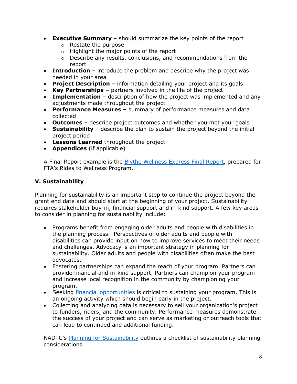- **Executive Summary** should summarize the key points of the report
	- o Restate the purpose
	- $\circ$  Highlight the major points of the report
	- $\circ$  Describe any results, conclusions, and recommendations from the report
- **Introduction** introduce the problem and describe why the project was needed in your area
- **Project Description** information detailing your project and its goals
- **Key Partnerships** partners involved in the life of the project
- **Implementation**  description of how the project was implemented and any adjustments made throughout the project
- **Performance Measures** summary of performance measures and data collected
- **Outcomes** describe project outcomes and whether you met your goals
- **Sustainability** describe the plan to sustain the project beyond the initial project period
- **Lessons Learned** throughout the project
- **Appendices** (if applicable)

A Final Report example is the [Blythe Wellness Express Final Report,](http://www.nadtc.org/wp-content/uploads/BWE-Final-Report_05092019-Final.pdf) prepared for FTA's Rides to Wellness Program.

# **V. Sustainability**

Planning for sustainability is an important step to continue the project beyond the grant end date and should start at the beginning of your project. Sustainability requires stakeholder buy-in, financial support and in-kind support. A few key areas to consider in planning for sustainability include:

- Programs benefit from engaging older adults and people with disabilities in the planning process. Perspectives of older adults and people with disabilities can provide input on how to improve services to meet their needs and challenges. Advocacy is an important strategy in planning for sustainability. Older adults and people with disabilities often make the best advocates.
- Fostering partnerships can expand the reach of your program. Partners can provide financial and in-kind support. Partners can champion your program and increase local recognition in the community by championing your program.
- Seeking [financial opportunities](https://www.nadtc.org/grants-funding/) is critical to sustaining your program. This is an ongoing activity which should begin early in the project.
- Collecting and analyzing data is necessary to sell your organization's project to funders, riders, and the community. Performance measures demonstrate the success of your project and can serve as marketing or outreach tools that can lead to continued and additional funding.

NADTC's [Planning for Sustainability](https://www.nadtc.org/wp-content/uploads/Infobrief-Planning-for-Sustainability-July2021.pdf) outlines a checklist of sustainability planning considerations.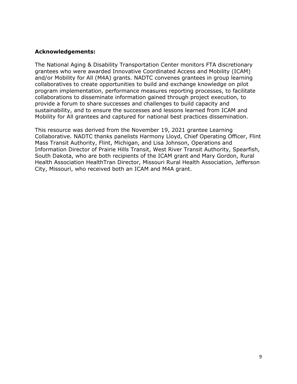### **Acknowledgements:**

The National Aging & Disability Transportation Center monitors FTA discretionary grantees who were awarded Innovative Coordinated Access and Mobility (ICAM) and/or Mobility for All (M4A) grants. NADTC convenes grantees in group learning collaboratives to create opportunities to build and exchange knowledge on pilot program implementation, performance measures reporting processes, to facilitate collaborations to disseminate information gained through project execution, to provide a forum to share successes and challenges to build capacity and sustainability, and to ensure the successes and lessons learned from ICAM and Mobility for All grantees and captured for national best practices dissemination.

This resource was derived from the November 19, 2021 grantee Learning Collaborative. NADTC thanks panelists Harmony Lloyd, Chief Operating Officer, Flint Mass Transit Authority, Flint, Michigan, and Lisa Johnson, Operations and Information Director of Prairie Hills Transit, West River Transit Authority, Spearfish, South Dakota, who are both recipients of the ICAM grant and Mary Gordon, Rural Health Association HealthTran Director, Missouri Rural Health Association, Jefferson City, Missouri, who received both an ICAM and M4A grant.